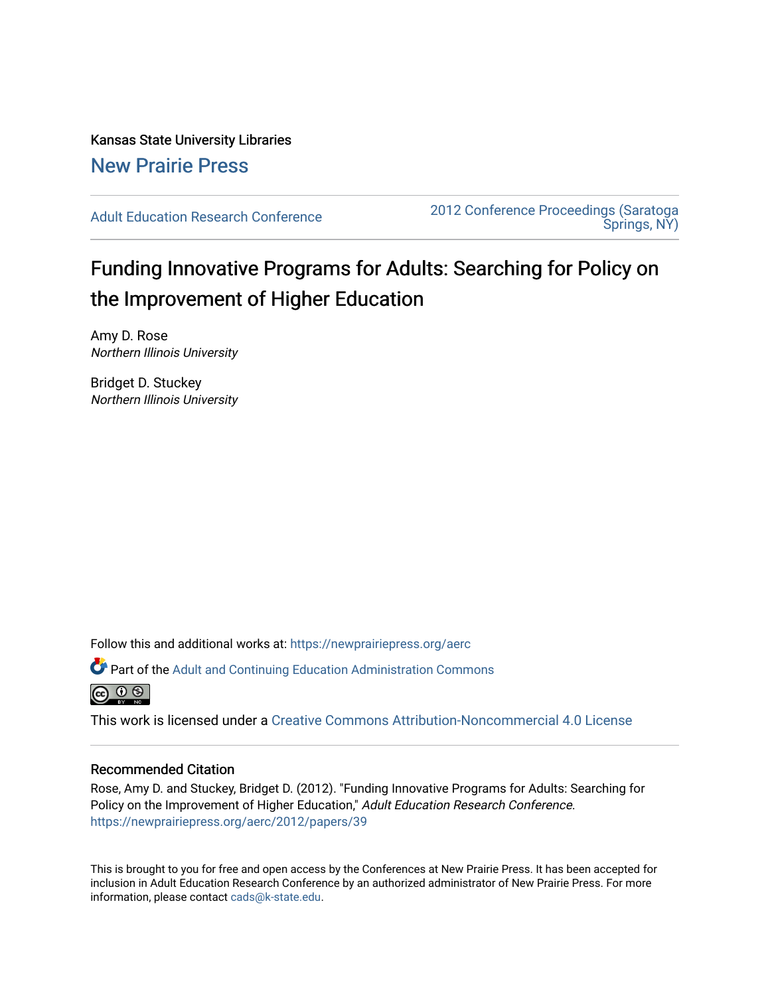Kansas State University Libraries [New Prairie Press](https://newprairiepress.org/) 

[Adult Education Research Conference](https://newprairiepress.org/aerc) [2012 Conference Proceedings \(Saratoga](https://newprairiepress.org/aerc/2012)  [Springs, NY\)](https://newprairiepress.org/aerc/2012) 

# Funding Innovative Programs for Adults: Searching for Policy on the Improvement of Higher Education

Amy D. Rose Northern Illinois University

Bridget D. Stuckey Northern Illinois University

Follow this and additional works at: [https://newprairiepress.org/aerc](https://newprairiepress.org/aerc?utm_source=newprairiepress.org%2Faerc%2F2012%2Fpapers%2F39&utm_medium=PDF&utm_campaign=PDFCoverPages)

Part of the [Adult and Continuing Education Administration Commons](http://network.bepress.com/hgg/discipline/789?utm_source=newprairiepress.org%2Faerc%2F2012%2Fpapers%2F39&utm_medium=PDF&utm_campaign=PDFCoverPages)



This work is licensed under a [Creative Commons Attribution-Noncommercial 4.0 License](https://creativecommons.org/licenses/by-nc/4.0/)

## Recommended Citation

Rose, Amy D. and Stuckey, Bridget D. (2012). "Funding Innovative Programs for Adults: Searching for Policy on the Improvement of Higher Education," Adult Education Research Conference. <https://newprairiepress.org/aerc/2012/papers/39>

This is brought to you for free and open access by the Conferences at New Prairie Press. It has been accepted for inclusion in Adult Education Research Conference by an authorized administrator of New Prairie Press. For more information, please contact [cads@k-state.edu](mailto:cads@k-state.edu).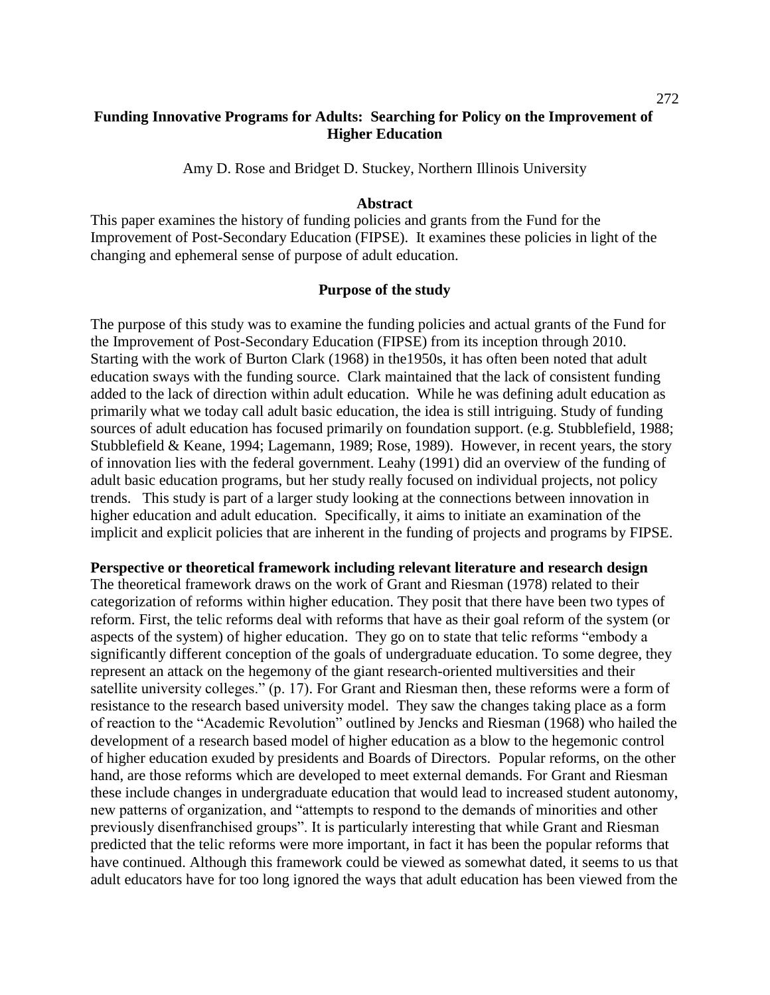# **Funding Innovative Programs for Adults: Searching for Policy on the Improvement of Higher Education**

Amy D. Rose and Bridget D. Stuckey, Northern Illinois University

#### **Abstract**

This paper examines the history of funding policies and grants from the Fund for the Improvement of Post-Secondary Education (FIPSE). It examines these policies in light of the changing and ephemeral sense of purpose of adult education.

#### **Purpose of the study**

The purpose of this study was to examine the funding policies and actual grants of the Fund for the Improvement of Post-Secondary Education (FIPSE) from its inception through 2010. Starting with the work of Burton Clark (1968) in the1950s, it has often been noted that adult education sways with the funding source. Clark maintained that the lack of consistent funding added to the lack of direction within adult education. While he was defining adult education as primarily what we today call adult basic education, the idea is still intriguing. Study of funding sources of adult education has focused primarily on foundation support. (e.g. Stubblefield, 1988; Stubblefield & Keane, 1994; Lagemann, 1989; Rose, 1989). However, in recent years, the story of innovation lies with the federal government. Leahy (1991) did an overview of the funding of adult basic education programs, but her study really focused on individual projects, not policy trends. This study is part of a larger study looking at the connections between innovation in higher education and adult education. Specifically, it aims to initiate an examination of the implicit and explicit policies that are inherent in the funding of projects and programs by FIPSE.

## **Perspective or theoretical framework including relevant literature and research design**

The theoretical framework draws on the work of Grant and Riesman (1978) related to their categorization of reforms within higher education. They posit that there have been two types of reform. First, the telic reforms deal with reforms that have as their goal reform of the system (or aspects of the system) of higher education. They go on to state that telic reforms "embody a significantly different conception of the goals of undergraduate education. To some degree, they represent an attack on the hegemony of the giant research-oriented multiversities and their satellite university colleges." (p. 17). For Grant and Riesman then, these reforms were a form of resistance to the research based university model. They saw the changes taking place as a form of reaction to the "Academic Revolution" outlined by Jencks and Riesman (1968) who hailed the development of a research based model of higher education as a blow to the hegemonic control of higher education exuded by presidents and Boards of Directors. Popular reforms, on the other hand, are those reforms which are developed to meet external demands. For Grant and Riesman these include changes in undergraduate education that would lead to increased student autonomy, new patterns of organization, and "attempts to respond to the demands of minorities and other previously disenfranchised groups". It is particularly interesting that while Grant and Riesman predicted that the telic reforms were more important, in fact it has been the popular reforms that have continued. Although this framework could be viewed as somewhat dated, it seems to us that adult educators have for too long ignored the ways that adult education has been viewed from the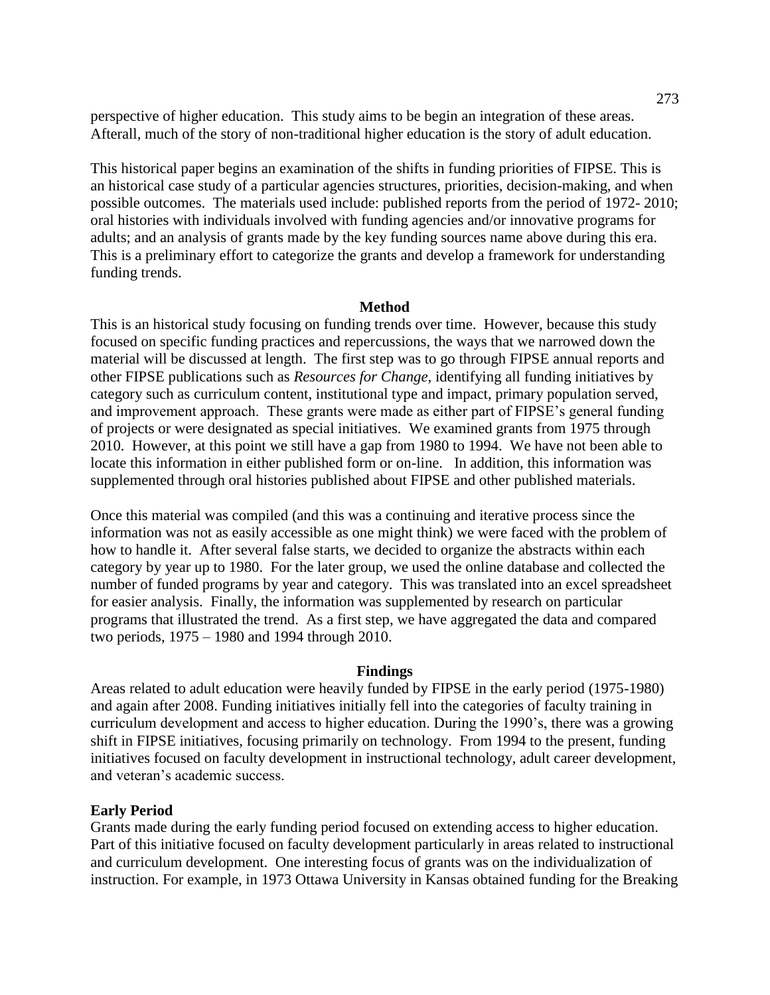perspective of higher education. This study aims to be begin an integration of these areas. Afterall, much of the story of non-traditional higher education is the story of adult education.

This historical paper begins an examination of the shifts in funding priorities of FIPSE. This is an historical case study of a particular agencies structures, priorities, decision-making, and when possible outcomes. The materials used include: published reports from the period of 1972- 2010; oral histories with individuals involved with funding agencies and/or innovative programs for adults; and an analysis of grants made by the key funding sources name above during this era. This is a preliminary effort to categorize the grants and develop a framework for understanding funding trends.

#### **Method**

This is an historical study focusing on funding trends over time. However, because this study focused on specific funding practices and repercussions, the ways that we narrowed down the material will be discussed at length. The first step was to go through FIPSE annual reports and other FIPSE publications such as *Resources for Change*, identifying all funding initiatives by category such as curriculum content, institutional type and impact, primary population served, and improvement approach. These grants were made as either part of FIPSE's general funding of projects or were designated as special initiatives. We examined grants from 1975 through 2010. However, at this point we still have a gap from 1980 to 1994. We have not been able to locate this information in either published form or on-line. In addition, this information was supplemented through oral histories published about FIPSE and other published materials.

Once this material was compiled (and this was a continuing and iterative process since the information was not as easily accessible as one might think) we were faced with the problem of how to handle it. After several false starts, we decided to organize the abstracts within each category by year up to 1980. For the later group, we used the online database and collected the number of funded programs by year and category. This was translated into an excel spreadsheet for easier analysis. Finally, the information was supplemented by research on particular programs that illustrated the trend. As a first step, we have aggregated the data and compared two periods, 1975 – 1980 and 1994 through 2010.

#### **Findings**

Areas related to adult education were heavily funded by FIPSE in the early period (1975-1980) and again after 2008. Funding initiatives initially fell into the categories of faculty training in curriculum development and access to higher education. During the 1990's, there was a growing shift in FIPSE initiatives, focusing primarily on technology. From 1994 to the present, funding initiatives focused on faculty development in instructional technology, adult career development, and veteran's academic success.

#### **Early Period**

Grants made during the early funding period focused on extending access to higher education. Part of this initiative focused on faculty development particularly in areas related to instructional and curriculum development. One interesting focus of grants was on the individualization of instruction. For example, in 1973 Ottawa University in Kansas obtained funding for the Breaking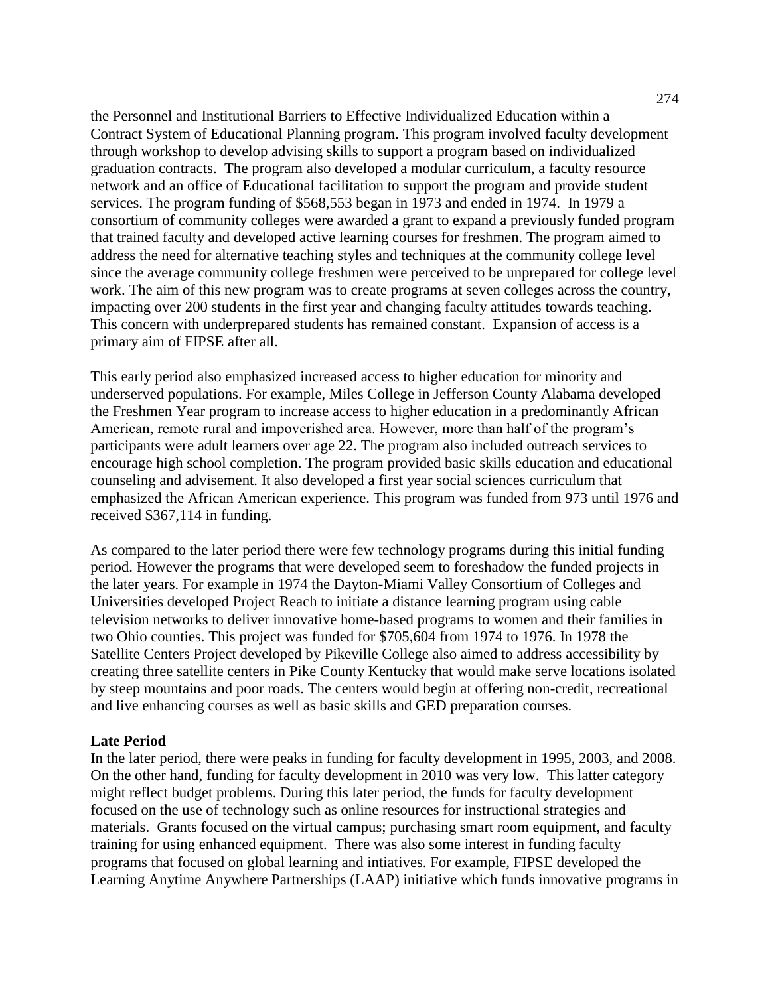the Personnel and Institutional Barriers to Effective Individualized Education within a Contract System of Educational Planning program. This program involved faculty development through workshop to develop advising skills to support a program based on individualized graduation contracts. The program also developed a modular curriculum, a faculty resource network and an office of Educational facilitation to support the program and provide student services. The program funding of \$568,553 began in 1973 and ended in 1974. In 1979 a consortium of community colleges were awarded a grant to expand a previously funded program that trained faculty and developed active learning courses for freshmen. The program aimed to address the need for alternative teaching styles and techniques at the community college level since the average community college freshmen were perceived to be unprepared for college level work. The aim of this new program was to create programs at seven colleges across the country, impacting over 200 students in the first year and changing faculty attitudes towards teaching. This concern with underprepared students has remained constant. Expansion of access is a primary aim of FIPSE after all.

This early period also emphasized increased access to higher education for minority and underserved populations. For example, Miles College in Jefferson County Alabama developed the Freshmen Year program to increase access to higher education in a predominantly African American, remote rural and impoverished area. However, more than half of the program's participants were adult learners over age 22. The program also included outreach services to encourage high school completion. The program provided basic skills education and educational counseling and advisement. It also developed a first year social sciences curriculum that emphasized the African American experience. This program was funded from 973 until 1976 and received \$367,114 in funding.

As compared to the later period there were few technology programs during this initial funding period. However the programs that were developed seem to foreshadow the funded projects in the later years. For example in 1974 the Dayton-Miami Valley Consortium of Colleges and Universities developed Project Reach to initiate a distance learning program using cable television networks to deliver innovative home-based programs to women and their families in two Ohio counties. This project was funded for \$705,604 from 1974 to 1976. In 1978 the Satellite Centers Project developed by Pikeville College also aimed to address accessibility by creating three satellite centers in Pike County Kentucky that would make serve locations isolated by steep mountains and poor roads. The centers would begin at offering non-credit, recreational and live enhancing courses as well as basic skills and GED preparation courses.

#### **Late Period**

In the later period, there were peaks in funding for faculty development in 1995, 2003, and 2008. On the other hand, funding for faculty development in 2010 was very low. This latter category might reflect budget problems. During this later period, the funds for faculty development focused on the use of technology such as online resources for instructional strategies and materials. Grants focused on the virtual campus; purchasing smart room equipment, and faculty training for using enhanced equipment. There was also some interest in funding faculty programs that focused on global learning and intiatives. For example, FIPSE developed the Learning Anytime Anywhere Partnerships (LAAP) initiative which funds innovative programs in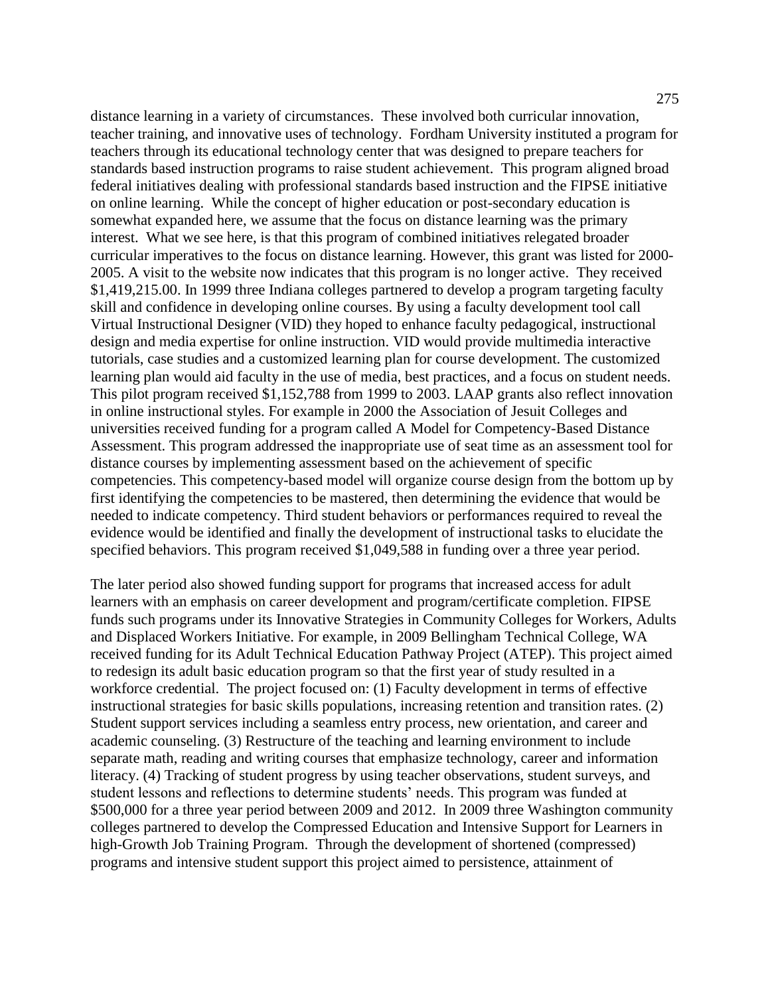distance learning in a variety of circumstances. These involved both curricular innovation, teacher training, and innovative uses of technology. Fordham University instituted a program for teachers through its educational technology center that was designed to prepare teachers for standards based instruction programs to raise student achievement. This program aligned broad federal initiatives dealing with professional standards based instruction and the FIPSE initiative on online learning. While the concept of higher education or post-secondary education is somewhat expanded here, we assume that the focus on distance learning was the primary interest. What we see here, is that this program of combined initiatives relegated broader curricular imperatives to the focus on distance learning. However, this grant was listed for 2000- 2005. A visit to the website now indicates that this program is no longer active. They received \$1,419,215.00. In 1999 three Indiana colleges partnered to develop a program targeting faculty skill and confidence in developing online courses. By using a faculty development tool call Virtual Instructional Designer (VID) they hoped to enhance faculty pedagogical, instructional design and media expertise for online instruction. VID would provide multimedia interactive tutorials, case studies and a customized learning plan for course development. The customized learning plan would aid faculty in the use of media, best practices, and a focus on student needs. This pilot program received \$1,152,788 from 1999 to 2003. LAAP grants also reflect innovation in online instructional styles. For example in 2000 the Association of Jesuit Colleges and universities received funding for a program called A Model for Competency-Based Distance Assessment. This program addressed the inappropriate use of seat time as an assessment tool for distance courses by implementing assessment based on the achievement of specific competencies. This competency-based model will organize course design from the bottom up by first identifying the competencies to be mastered, then determining the evidence that would be needed to indicate competency. Third student behaviors or performances required to reveal the evidence would be identified and finally the development of instructional tasks to elucidate the specified behaviors. This program received \$1,049,588 in funding over a three year period.

The later period also showed funding support for programs that increased access for adult learners with an emphasis on career development and program/certificate completion. FIPSE funds such programs under its Innovative Strategies in Community Colleges for Workers, Adults and Displaced Workers Initiative. For example, in 2009 Bellingham Technical College, WA received funding for its Adult Technical Education Pathway Project (ATEP). This project aimed to redesign its adult basic education program so that the first year of study resulted in a workforce credential. The project focused on: (1) Faculty development in terms of effective instructional strategies for basic skills populations, increasing retention and transition rates. (2) Student support services including a seamless entry process, new orientation, and career and academic counseling. (3) Restructure of the teaching and learning environment to include separate math, reading and writing courses that emphasize technology, career and information literacy. (4) Tracking of student progress by using teacher observations, student surveys, and student lessons and reflections to determine students' needs. This program was funded at \$500,000 for a three year period between 2009 and 2012. In 2009 three Washington community colleges partnered to develop the Compressed Education and Intensive Support for Learners in high-Growth Job Training Program. Through the development of shortened (compressed) programs and intensive student support this project aimed to persistence, attainment of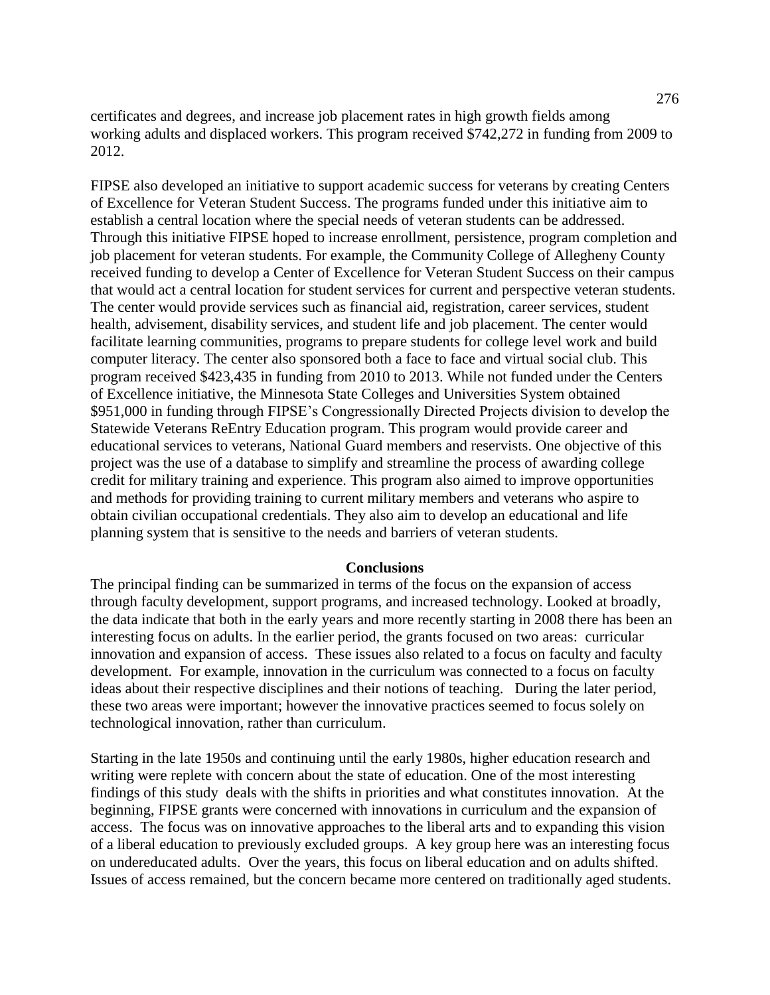certificates and degrees, and increase job placement rates in high growth fields among working adults and displaced workers. This program received \$742,272 in funding from 2009 to 2012.

FIPSE also developed an initiative to support academic success for veterans by creating Centers of Excellence for Veteran Student Success. The programs funded under this initiative aim to establish a central location where the special needs of veteran students can be addressed. Through this initiative FIPSE hoped to increase enrollment, persistence, program completion and job placement for veteran students. For example, the Community College of Allegheny County received funding to develop a Center of Excellence for Veteran Student Success on their campus that would act a central location for student services for current and perspective veteran students. The center would provide services such as financial aid, registration, career services, student health, advisement, disability services, and student life and job placement. The center would facilitate learning communities, programs to prepare students for college level work and build computer literacy. The center also sponsored both a face to face and virtual social club. This program received \$423,435 in funding from 2010 to 2013. While not funded under the Centers of Excellence initiative, the Minnesota State Colleges and Universities System obtained \$951,000 in funding through FIPSE's Congressionally Directed Projects division to develop the Statewide Veterans ReEntry Education program. This program would provide career and educational services to veterans, National Guard members and reservists. One objective of this project was the use of a database to simplify and streamline the process of awarding college credit for military training and experience. This program also aimed to improve opportunities and methods for providing training to current military members and veterans who aspire to obtain civilian occupational credentials. They also aim to develop an educational and life planning system that is sensitive to the needs and barriers of veteran students.

#### **Conclusions**

The principal finding can be summarized in terms of the focus on the expansion of access through faculty development, support programs, and increased technology. Looked at broadly, the data indicate that both in the early years and more recently starting in 2008 there has been an interesting focus on adults. In the earlier period, the grants focused on two areas: curricular innovation and expansion of access. These issues also related to a focus on faculty and faculty development. For example, innovation in the curriculum was connected to a focus on faculty ideas about their respective disciplines and their notions of teaching. During the later period, these two areas were important; however the innovative practices seemed to focus solely on technological innovation, rather than curriculum.

Starting in the late 1950s and continuing until the early 1980s, higher education research and writing were replete with concern about the state of education. One of the most interesting findings of this study deals with the shifts in priorities and what constitutes innovation. At the beginning, FIPSE grants were concerned with innovations in curriculum and the expansion of access. The focus was on innovative approaches to the liberal arts and to expanding this vision of a liberal education to previously excluded groups. A key group here was an interesting focus on undereducated adults. Over the years, this focus on liberal education and on adults shifted. Issues of access remained, but the concern became more centered on traditionally aged students.